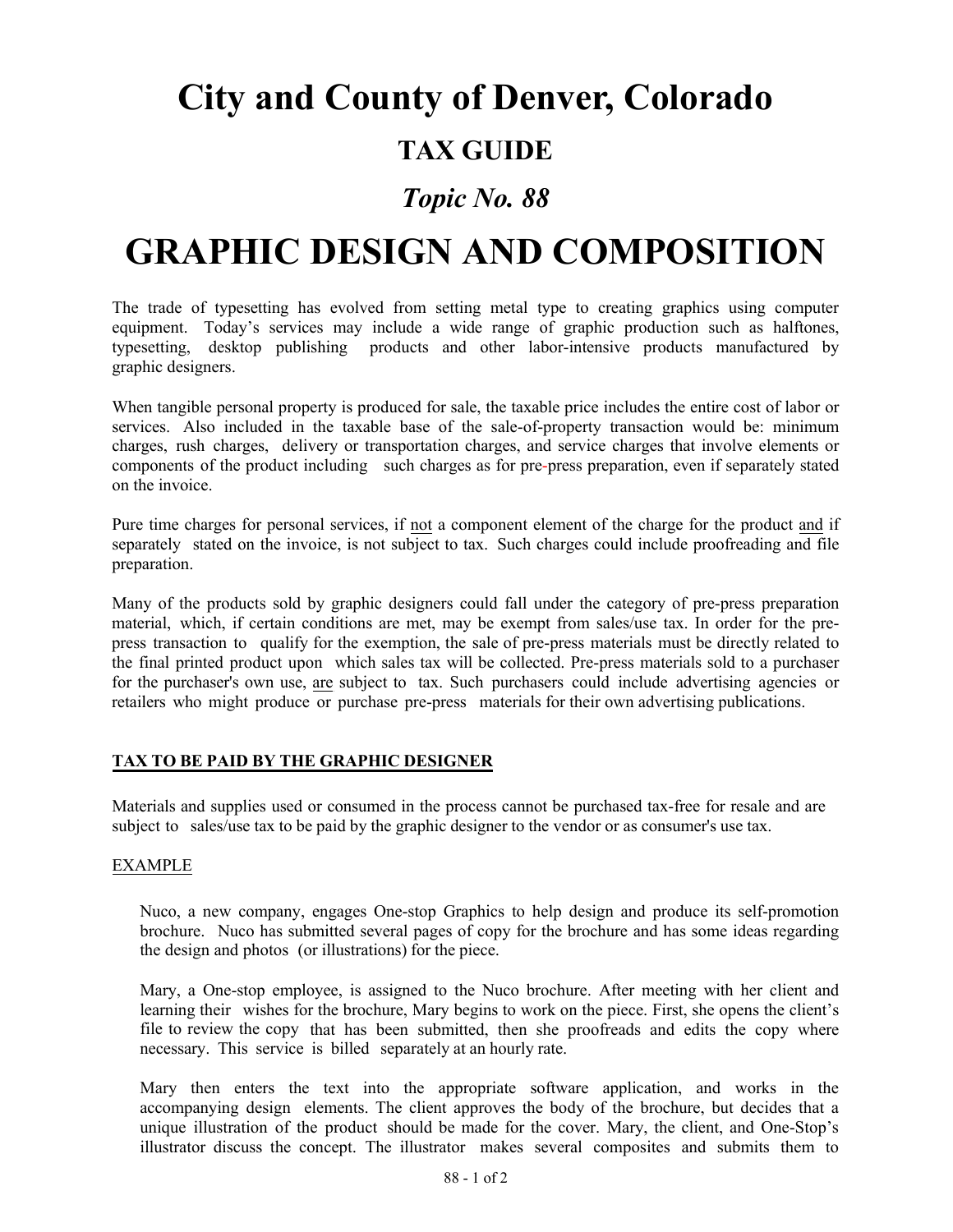# **City and County of Denver, Colorado**

### **TAX GUIDE**

### *Topic No. 88*

# **GRAPHIC DESIGN AND COMPOSITION**

The trade of typesetting has evolved from setting metal type to creating graphics using computer equipment. Today's services may include a wide range of graphic production such as halftones, typesetting, desktop publishing products and other labor-intensive products manufactured by graphic designers.

When tangible personal property is produced for sale, the taxable price includes the entire cost of labor or services. Also included in the taxable base of the sale-of-property transaction would be: minimum charges, rush charges, delivery or transportation charges, and service charges that involve elements or components of the product including such charges as for pre-press preparation, even if separately stated on the invoice.

Pure time charges for personal services, if not a component element of the charge for the product and if separately stated on the invoice, is not subject to tax. Such charges could include proofreading and file preparation.

Many of the products sold by graphic designers could fall under the category of pre-press preparation material, which, if certain conditions are met, may be exempt from sales/use tax. In order for the prepress transaction to qualify for the exemption, the sale of pre-press materials must be directly related to the final printed product upon which sales tax will be collected. Pre-press materials sold to a purchaser for the purchaser's own use, are subject to tax. Such purchasers could include advertising agencies or retailers who might produce or purchase pre-press materials for their own advertising publications.

#### **TAX TO BE PAID BY THE GRAPHIC DESIGNER**

Materials and supplies used or consumed in the process cannot be purchased tax-free for resale and are subject to sales/use tax to be paid by the graphic designer to the vendor or as consumer's use tax.

#### EXAMPLE

Nuco, a new company, engages One-stop Graphics to help design and produce its self-promotion brochure. Nuco has submitted several pages of copy for the brochure and has some ideas regarding the design and photos (or illustrations) for the piece.

Mary, a One-stop employee, is assigned to the Nuco brochure. After meeting with her client and learning their wishes for the brochure, Mary begins to work on the piece. First, she opens the client's file to review the copy that has been submitted, then she proofreads and edits the copy where necessary. This service is billed separately at an hourly rate.

Mary then enters the text into the appropriate software application, and works in the accompanying design elements. The client approves the body of the brochure, but decides that a unique illustration of the product should be made for the cover. Mary, the client, and One-Stop's illustrator discuss the concept. The illustrator makes several composites and submits them to